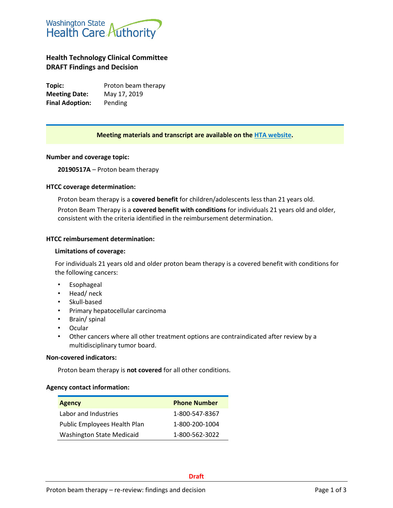

# **Health Technology Clinical Committee DRAFT Findings and Decision**

**Topic:** Proton beam therapy **Meeting Date:** May 17, 2019 **Final Adoption:** Pending

# **Meeting materials and transcript are available on the [HTA website.](http://www.hca.wa.gov/about-hca/health-technology-assessment/meetings-and-materials)**

## **Number and coverage topic:**

**20190517A** – Proton beam therapy

## **HTCC coverage determination:**

Proton beam therapy is a **covered benefit** for children/adolescents less than 21 years old. Proton Beam Therapy is a **covered benefit with conditions** for individuals 21 years old and older, consistent with the criteria identified in the reimbursement determination.

#### **HTCC reimbursement determination:**

#### **Limitations of coverage:**

For individuals 21 years old and older proton beam therapy is a covered benefit with conditions for the following cancers:

- Esophageal
- Head/ neck
- Skull-based
- Primary hepatocellular carcinoma
- Brain/ spinal
- Ocular
- Other cancers where all other treatment options are contraindicated after review by a multidisciplinary tumor board.

#### **Non-covered indicators:**

Proton beam therapy is **not covered** for all other conditions.

#### **Agency contact information:**

| <b>Agency</b>                    | <b>Phone Number</b> |
|----------------------------------|---------------------|
| Labor and Industries             | 1-800-547-8367      |
| Public Employees Health Plan     | 1-800-200-1004      |
| <b>Washington State Medicaid</b> | 1-800-562-3022      |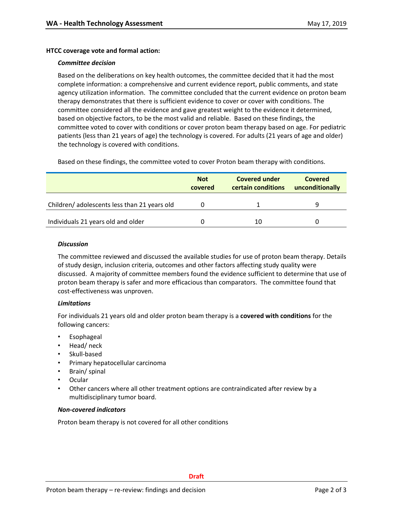## **HTCC coverage vote and formal action:**

#### *Committee decision*

Based on the deliberations on key health outcomes, the committee decided that it had the most complete information: a comprehensive and current evidence report, public comments, and state agency utilization information. The committee concluded that the current evidence on proton beam therapy demonstrates that there is sufficient evidence to cover or cover with conditions. The committee considered all the evidence and gave greatest weight to the evidence it determined, based on objective factors, to be the most valid and reliable. Based on these findings, the committee voted to cover with conditions or cover proton beam therapy based on age. For pediatric patients (less than 21 years of age) the technology is covered. For adults (21 years of age and older) the technology is covered with conditions.

Based on these findings, the committee voted to cover Proton beam therapy with conditions.

|                                             | <b>Not</b><br>covered | <b>Covered under</b><br>certain conditions | <b>Covered</b><br>unconditionally |
|---------------------------------------------|-----------------------|--------------------------------------------|-----------------------------------|
| Children/adolescents less than 21 years old |                       |                                            |                                   |
| Individuals 21 years old and older          |                       | 10                                         |                                   |

## *Discussion*

The committee reviewed and discussed the available studies for use of proton beam therapy. Details of study design, inclusion criteria, outcomes and other factors affecting study quality were discussed. A majority of committee members found the evidence sufficient to determine that use of proton beam therapy is safer and more efficacious than comparators. The committee found that cost-effectiveness was unproven.

## *Limitations*

For individuals 21 years old and older proton beam therapy is a **covered with conditions** for the following cancers:

- **Esophageal**
- Head/ neck
- Skull-based
- Primary hepatocellular carcinoma
- Brain/ spinal
- Ocular
- Other cancers where all other treatment options are contraindicated after review by a multidisciplinary tumor board.

## *Non-covered indicators*

Proton beam therapy is not covered for all other conditions